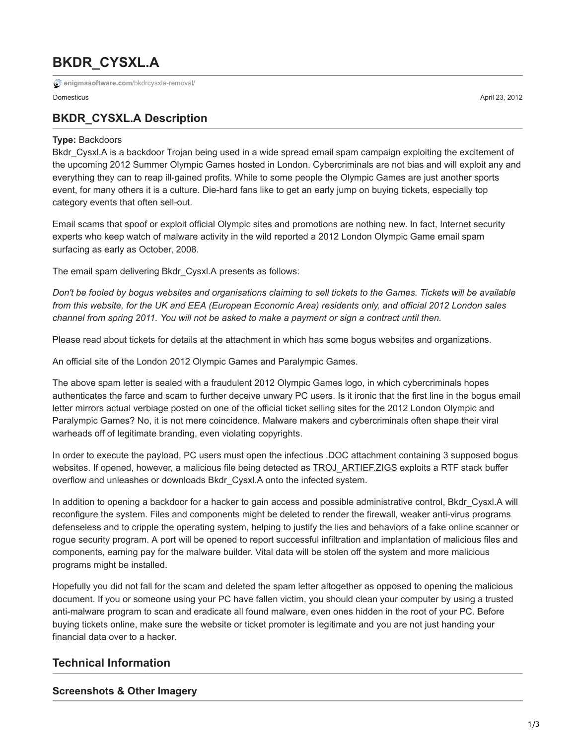# **BKDR\_CYSXL.A**

**[enigmasoftware.com](https://www.enigmasoftware.com/bkdrcysxla-removal/)**/bkdrcysxla-removal/

# **BKDR\_CYSXL.A Description**

#### **Type:** Backdoors

Bkdr Cysxl.A is a backdoor Trojan being used in a wide spread email spam campaign exploiting the excitement of the upcoming 2012 Summer Olympic Games hosted in London. Cybercriminals are not bias and will exploit any and everything they can to reap ill-gained profits. While to some people the Olympic Games are just another sports event, for many others it is a culture. Die-hard fans like to get an early jump on buying tickets, especially top category events that often sell-out.

Email scams that spoof or exploit official Olympic sites and promotions are nothing new. In fact, Internet security experts who keep watch of malware activity in the wild reported a 2012 London Olympic Game email spam surfacing as early as October, 2008.

The email spam delivering Bkdr\_Cysxl.A presents as follows:

*Don't be fooled by bogus websites and organisations claiming to sell tickets to the Games. Tickets will be available from this website, for the UK and EEA (European Economic Area) residents only, and official 2012 London sales channel from spring 2011. You will not be asked to make a payment or sign a contract until then.*

Please read about tickets for details at the attachment in which has some bogus websites and organizations.

An official site of the London 2012 Olympic Games and Paralympic Games.

The above spam letter is sealed with a fraudulent 2012 Olympic Games logo, in which cybercriminals hopes authenticates the farce and scam to further deceive unwary PC users. Is it ironic that the first line in the bogus email letter mirrors actual verbiage posted on one of the official ticket selling sites for the 2012 London Olympic and Paralympic Games? No, it is not mere coincidence. Malware makers and cybercriminals often shape their viral warheads off of legitimate branding, even violating copyrights.

In order to execute the payload, PC users must open the infectious .DOC attachment containing 3 supposed bogus websites. If opened, however, a malicious file being detected as [TROJ\\_ARTIEF.ZIGS](https://www.enigmasoftware.com/trojartiefzigs-removal/) exploits a RTF stack buffer overflow and unleashes or downloads Bkdr\_Cysxl.A onto the infected system.

In addition to opening a backdoor for a hacker to gain access and possible administrative control, Bkdr\_Cysxl.A will reconfigure the system. Files and components might be deleted to render the firewall, weaker anti-virus programs defenseless and to cripple the operating system, helping to justify the lies and behaviors of a fake online scanner or rogue security program. A port will be opened to report successful infiltration and implantation of malicious files and components, earning pay for the malware builder. Vital data will be stolen off the system and more malicious programs might be installed.

Hopefully you did not fall for the scam and deleted the spam letter altogether as opposed to opening the malicious document. If you or someone using your PC have fallen victim, you should clean your computer by using a trusted anti-malware program to scan and eradicate all found malware, even ones hidden in the root of your PC. Before buying tickets online, make sure the website or ticket promoter is legitimate and you are not just handing your financial data over to a hacker.

## **Technical Information**

#### **Screenshots & Other Imagery**

Domesticus April 23, 2012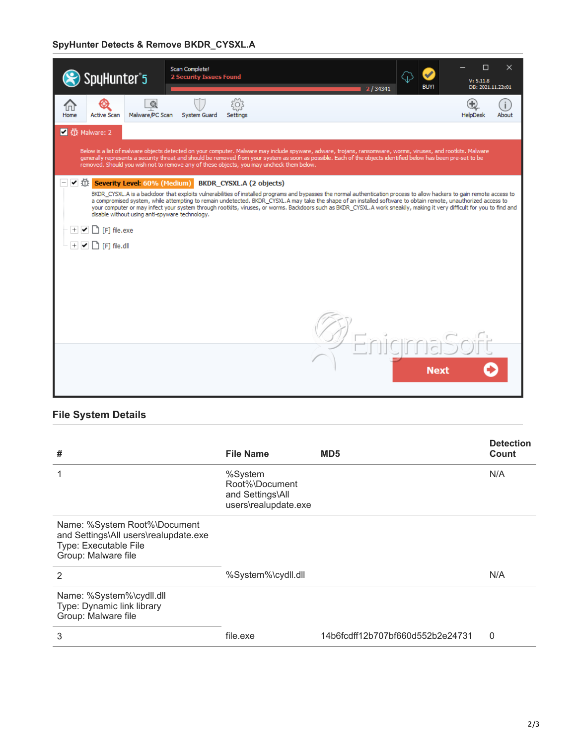## **SpyHunter Detects & Remove BKDR\_CYSXL.A**

| SpyHunter <sup>*</sup> 5                                                                                                                                                                                                                                                                                                                                                                                                    |                                                | Scan Complete!<br><b>2 Security Issues Found</b> |                                 |  |                                                                                                                                                                                                                                                                                                                                                                                                                                                                                                                      | 2/34341 | ⇦<br><b>BUY!</b> | □<br>V: 5.11.8<br>DB: 2021.11.23x01 | $\times$ |  |
|-----------------------------------------------------------------------------------------------------------------------------------------------------------------------------------------------------------------------------------------------------------------------------------------------------------------------------------------------------------------------------------------------------------------------------|------------------------------------------------|--------------------------------------------------|---------------------------------|--|----------------------------------------------------------------------------------------------------------------------------------------------------------------------------------------------------------------------------------------------------------------------------------------------------------------------------------------------------------------------------------------------------------------------------------------------------------------------------------------------------------------------|---------|------------------|-------------------------------------|----------|--|
| ſпl<br><b>Active Scan</b><br>Home                                                                                                                                                                                                                                                                                                                                                                                           | $\circledcirc$<br>Malware/PC Scan              | System Guard                                     | 503<br><b>Settings</b>          |  |                                                                                                                                                                                                                                                                                                                                                                                                                                                                                                                      |         |                  | <b>HelpDesk</b>                     | About    |  |
| ■ ① Malware: 2                                                                                                                                                                                                                                                                                                                                                                                                              |                                                |                                                  |                                 |  |                                                                                                                                                                                                                                                                                                                                                                                                                                                                                                                      |         |                  |                                     |          |  |
| Below is a list of malware objects detected on your computer. Malware may include spyware, adware, trojans, ransomware, worms, viruses, and rootkits. Malware<br>generally represents a security threat and should be removed from your system as soon as possible. Each of the objects identified below has been pre-set to be<br>removed. Should you wish not to remove any of these objects, you may uncheck them below. |                                                |                                                  |                                 |  |                                                                                                                                                                                                                                                                                                                                                                                                                                                                                                                      |         |                  |                                     |          |  |
| ✔ 1 \\, Severity Level: 60% (Medium)<br>$\Box$ [F] file.exe<br>$\Box$ [F] file.dll                                                                                                                                                                                                                                                                                                                                          | disable without using anti-spyware technology. |                                                  | <b>BKDR CYSXL.A (2 objects)</b> |  | BKDR CYSXL.A is a backdoor that exploits vulnerabilities of installed programs and bypasses the normal authentication process to allow hackers to gain remote access to<br>a compromised system, while attempting to remain undetected. BKDR_CYSXL.A may take the shape of an installed software to obtain remote, unauthorized access to<br>your computer or may infect your system through rootkits, viruses, or worms. Backdoors such as BKDR_CYSXL.A work sneakily, making it very difficult for you to find and |         |                  |                                     |          |  |
|                                                                                                                                                                                                                                                                                                                                                                                                                             |                                                |                                                  |                                 |  |                                                                                                                                                                                                                                                                                                                                                                                                                                                                                                                      |         | <b>Next</b>      |                                     |          |  |

# **File System Details**

| #                                                                                                                     | <b>File Name</b>                                                      | MD <sub>5</sub>                  | <b>Detection</b><br>Count |
|-----------------------------------------------------------------------------------------------------------------------|-----------------------------------------------------------------------|----------------------------------|---------------------------|
|                                                                                                                       | %System<br>Root%\Document<br>and Settings\All<br>users\realupdate.exe |                                  | N/A                       |
| Name: %System Root%\Document<br>and Settings\All users\realupdate.exe<br>Type: Executable File<br>Group: Malware file |                                                                       |                                  |                           |
| 2                                                                                                                     | %System%\cydll.dll                                                    |                                  | N/A                       |
| Name: %System%\cydll.dll<br>Type: Dynamic link library<br>Group: Malware file                                         |                                                                       |                                  |                           |
| 3                                                                                                                     | file.exe                                                              | 14b6fcdff12b707bf660d552b2e24731 | $\Omega$                  |